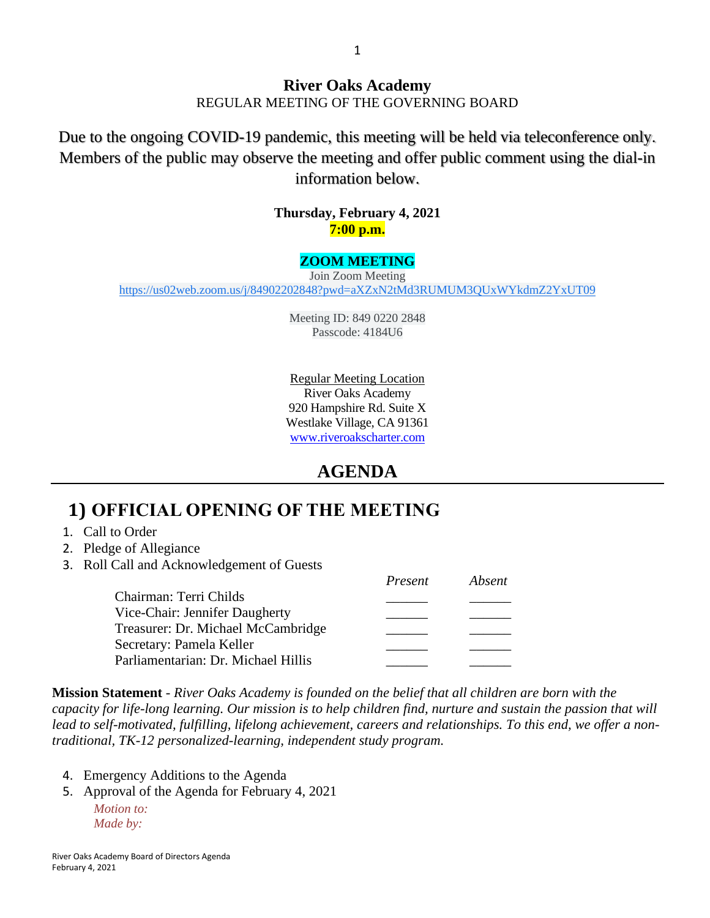#### **River Oaks Academy** REGULAR MEETING OF THE GOVERNING BOARD

Due to the ongoing COVID-19 pandemic, this meeting will be held via teleconference only. Members of the public may observe the meeting and offer public comment using the dial-in information below.

> **Thursday, February 4, 2021 7:00 p.m.**

#### **ZOOM MEETING**

Join Zoom Meeting [https://us02web.zoom.us/j/84902202848?pwd=aXZxN2tMd3RUMUM3QUxWYkdmZ2YxUT09](https://www.google.com/url?q=https://us02web.zoom.us/j/84902202848?pwd%3DaXZxN2tMd3RUMUM3QUxWYkdmZ2YxUT09&sa=D&source=calendar&ust=1611693829647000&usg=AOvVaw0gfeNkc8LbP-jU0-pdSRcr)

> Meeting ID: 849 0220 2848 Passcode: 4184U6

Regular Meeting Location River Oaks Academy 920 Hampshire Rd. Suite X Westlake Village, CA 91361 [www.riveroakscharter.com](http://www.riveroakscharter.com/)

### **AGENDA**

## **1) OFFICIAL OPENING OF THE MEETING**

- 1. Call to Order
- 2. Pledge of Allegiance
- 3. Roll Call and Acknowledgement of Guests

|                                     | Present | Absent |
|-------------------------------------|---------|--------|
| Chairman: Terri Childs              |         |        |
| Vice-Chair: Jennifer Daugherty      |         |        |
| Treasurer: Dr. Michael McCambridge  |         |        |
| Secretary: Pamela Keller            |         |        |
| Parliamentarian: Dr. Michael Hillis |         |        |

**Mission Statement** - *River Oaks Academy is founded on the belief that all children are born with the capacity for life-long learning. Our mission is to help children find, nurture and sustain the passion that will lead to self-motivated, fulfilling, lifelong achievement, careers and relationships. To this end, we offer a nontraditional, TK-12 personalized-learning, independent study program.* 

- 4. Emergency Additions to the Agenda
- 5. Approval of the Agenda for February 4, 2021 *Motion to: Made by:*

River Oaks Academy Board of Directors Agenda February 4, 2021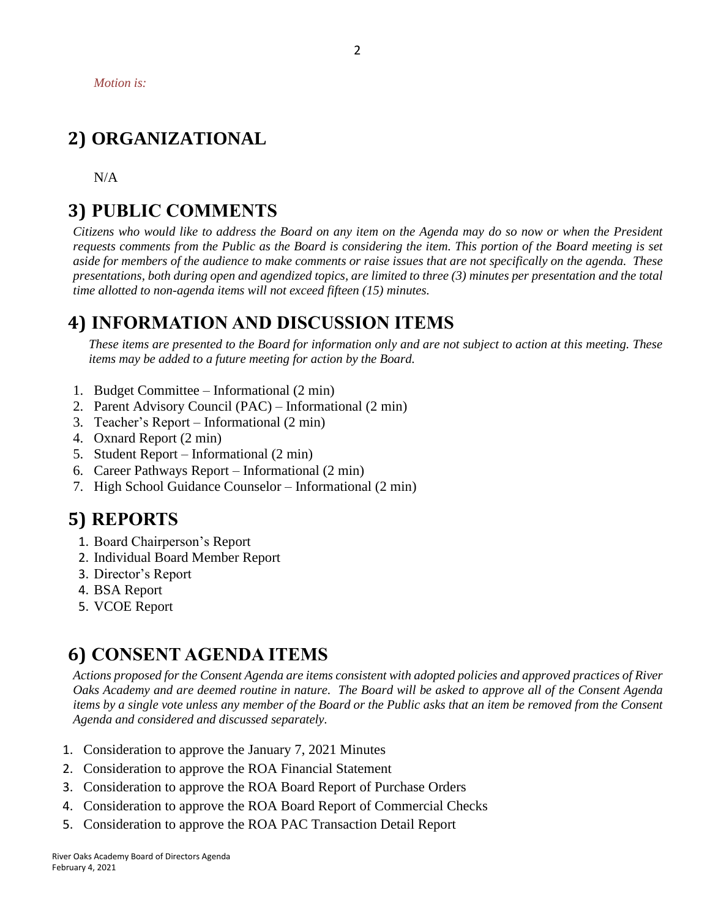## **2) ORGANIZATIONAL**

N/A

### **3) PUBLIC COMMENTS**

*Citizens who would like to address the Board on any item on the Agenda may do so now or when the President requests comments from the Public as the Board is considering the item. This portion of the Board meeting is set aside for members of the audience to make comments or raise issues that are not specifically on the agenda. These presentations, both during open and agendized topics, are limited to three (3) minutes per presentation and the total time allotted to non-agenda items will not exceed fifteen (15) minutes.*

### **4) INFORMATION AND DISCUSSION ITEMS**

*These items are presented to the Board for information only and are not subject to action at this meeting. These items may be added to a future meeting for action by the Board.*

- 1. Budget Committee Informational (2 min)
- 2. Parent Advisory Council (PAC) Informational (2 min)
- 3. Teacher's Report Informational (2 min)
- 4. Oxnard Report (2 min)
- 5. Student Report Informational (2 min)
- 6. Career Pathways Report Informational (2 min)
- 7. High School Guidance Counselor Informational (2 min)

### **5) REPORTS**

- 1. Board Chairperson's Report
- 2. Individual Board Member Report
- 3. Director's Report
- 4. BSA Report
- 5. VCOE Report

### **6) CONSENT AGENDA ITEMS**

*Actions proposed for the Consent Agenda are items consistent with adopted policies and approved practices of River Oaks Academy and are deemed routine in nature. The Board will be asked to approve all of the Consent Agenda items by a single vote unless any member of the Board or the Public asks that an item be removed from the Consent Agenda and considered and discussed separately.*

- 1. Consideration to approve the January 7, 2021 Minutes
- 2. Consideration to approve the ROA Financial Statement
- 3. Consideration to approve the ROA Board Report of Purchase Orders
- 4. Consideration to approve the ROA Board Report of Commercial Checks
- 5. Consideration to approve the ROA PAC Transaction Detail Report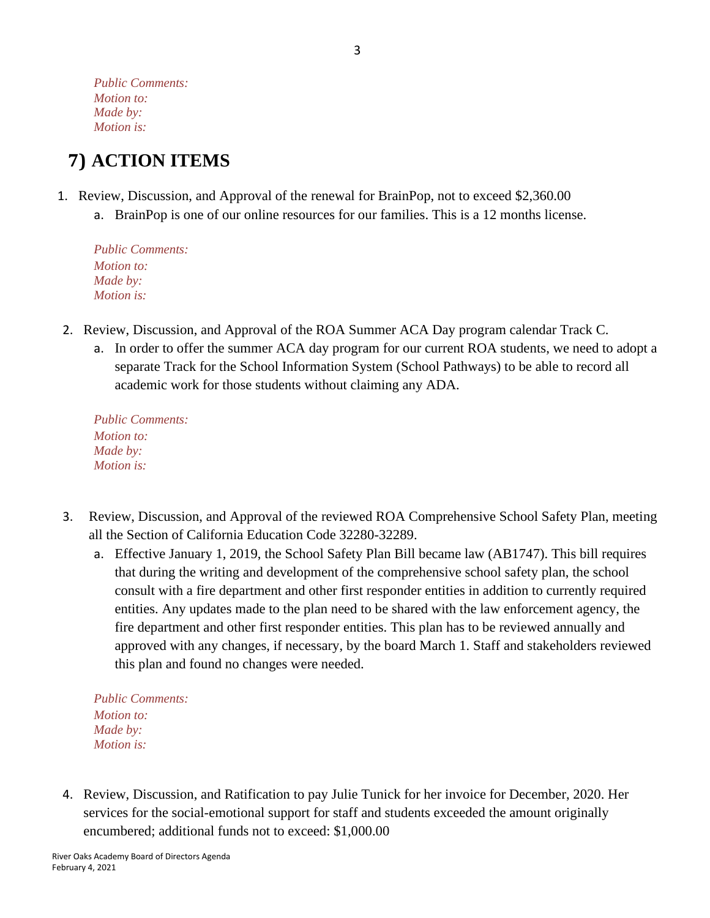*Public Comments: Motion to: Made by: Motion is:*

# **7) ACTION ITEMS**

- 1. Review, Discussion, and Approval of the renewal for BrainPop, not to exceed \$2,360.00
	- a. BrainPop is one of our online resources for our families. This is a 12 months license.

*Public Comments: Motion to: Made by: Motion is:*

- 2. Review, Discussion, and Approval of the ROA Summer ACA Day program calendar Track C.
	- a. In order to offer the summer ACA day program for our current ROA students, we need to adopt a separate Track for the School Information System (School Pathways) to be able to record all academic work for those students without claiming any ADA.

*Public Comments: Motion to: Made by: Motion is:*

- 3. Review, Discussion, and Approval of the reviewed ROA Comprehensive School Safety Plan, meeting all the Section of California Education Code 32280-32289.
	- a. Effective January 1, 2019, the School Safety Plan Bill became law (AB1747). This bill requires that during the writing and development of the comprehensive school safety plan, the school consult with a fire department and other first responder entities in addition to currently required entities. Any updates made to the plan need to be shared with the law enforcement agency, the fire department and other first responder entities. This plan has to be reviewed annually and approved with any changes, if necessary, by the board March 1. Staff and stakeholders reviewed this plan and found no changes were needed.

*Public Comments: Motion to: Made by: Motion is:*

4. Review, Discussion, and Ratification to pay Julie Tunick for her invoice for December, 2020. Her services for the social-emotional support for staff and students exceeded the amount originally encumbered; additional funds not to exceed: \$1,000.00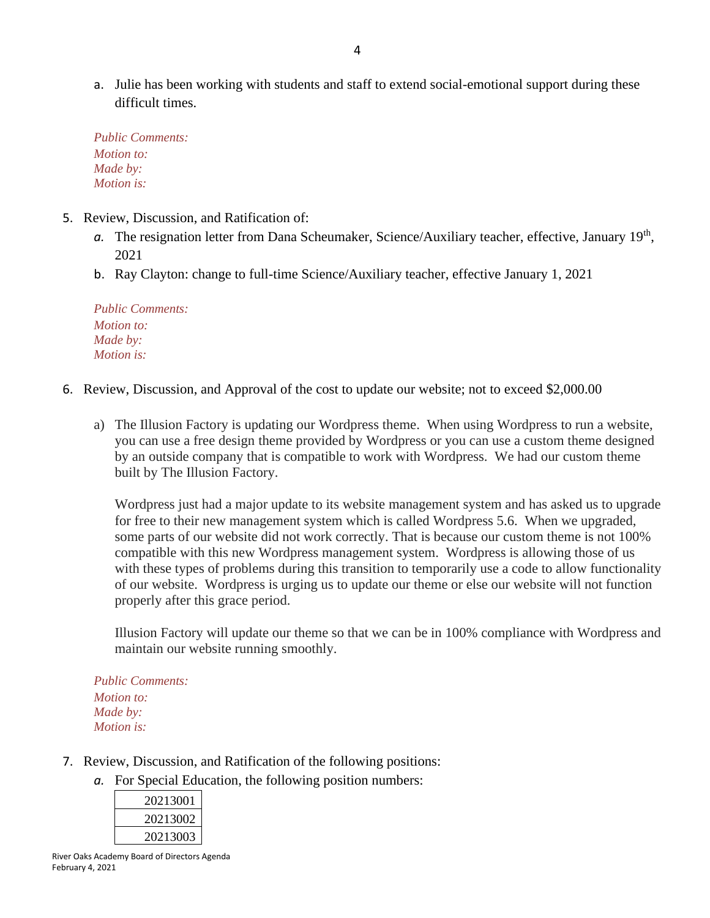a. Julie has been working with students and staff to extend social-emotional support during these difficult times.

*Public Comments: Motion to: Made by: Motion is:*

- 5. Review, Discussion, and Ratification of:
	- a. The resignation letter from Dana Scheumaker, Science/Auxiliary teacher, effective, January 19<sup>th</sup>, 2021
	- b. Ray Clayton: change to full-time Science/Auxiliary teacher, effective January 1, 2021

*Public Comments: Motion to: Made by: Motion is:*

- 6. Review, Discussion, and Approval of the cost to update our website; not to exceed \$2,000.00
	- a) The Illusion Factory is updating our Wordpress theme. When using Wordpress to run a website, you can use a free design theme provided by Wordpress or you can use a custom theme designed by an outside company that is compatible to work with Wordpress. We had our custom theme built by The Illusion Factory.

Wordpress just had a major update to its website management system and has asked us to upgrade for free to their new management system which is called Wordpress 5.6. When we upgraded, some parts of our website did not work correctly. That is because our custom theme is not 100% compatible with this new Wordpress management system. Wordpress is allowing those of us with these types of problems during this transition to temporarily use a code to allow functionality of our website. Wordpress is urging us to update our theme or else our website will not function properly after this grace period.

Illusion Factory will update our theme so that we can be in 100% compliance with Wordpress and maintain our website running smoothly.

*Public Comments: Motion to: Made by: Motion is:*

- 7. Review, Discussion, and Ratification of the following positions:
	- *a.* For Special Education, the following position numbers:

| 20213001 |
|----------|
| 20213002 |
| 20213003 |

River Oaks Academy Board of Directors Agenda February 4, 2021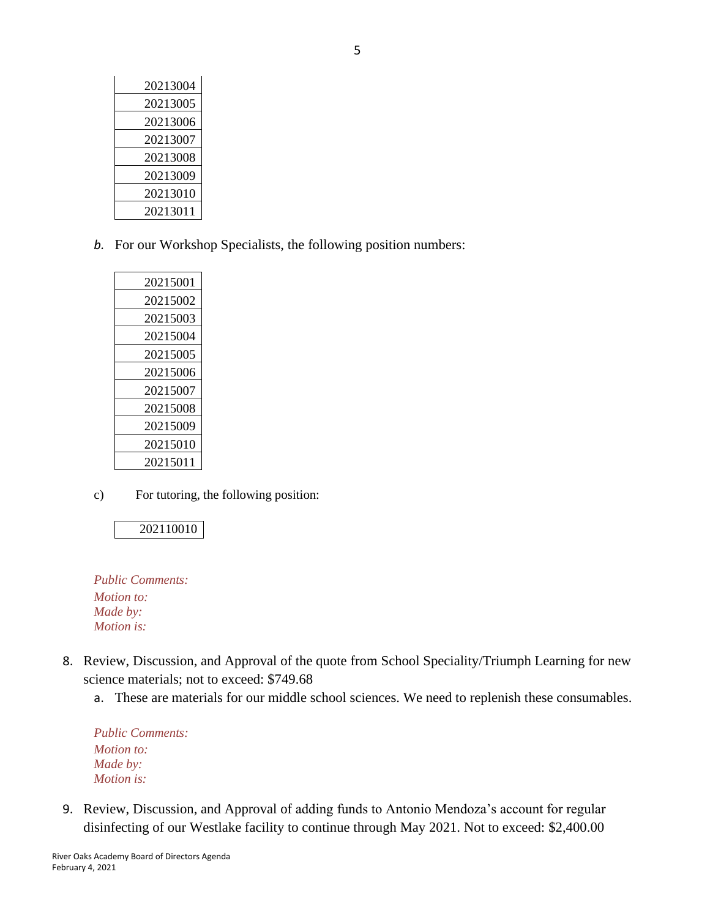| 20213004 |
|----------|
| 20213005 |
| 20213006 |
| 20213007 |
| 20213008 |
| 20213009 |
| 20213010 |
| 20213011 |

*b.* For our Workshop Specialists, the following position numbers:

| 20215001 |
|----------|
| 20215002 |
| 20215003 |
| 20215004 |
| 20215005 |
| 20215006 |
| 20215007 |
| 20215008 |
| 20215009 |
| 20215010 |
| 20215011 |
|          |

c) For tutoring, the following position:

#### 202110010

*Public Comments: Motion to: Made by: Motion is:*

- 8. Review, Discussion, and Approval of the quote from School Speciality/Triumph Learning for new science materials; not to exceed: \$749.68
	- a. These are materials for our middle school sciences. We need to replenish these consumables.

*Public Comments: Motion to: Made by: Motion is:*

9. Review, Discussion, and Approval of adding funds to Antonio Mendoza's account for regular disinfecting of our Westlake facility to continue through May 2021. Not to exceed: \$2,400.00